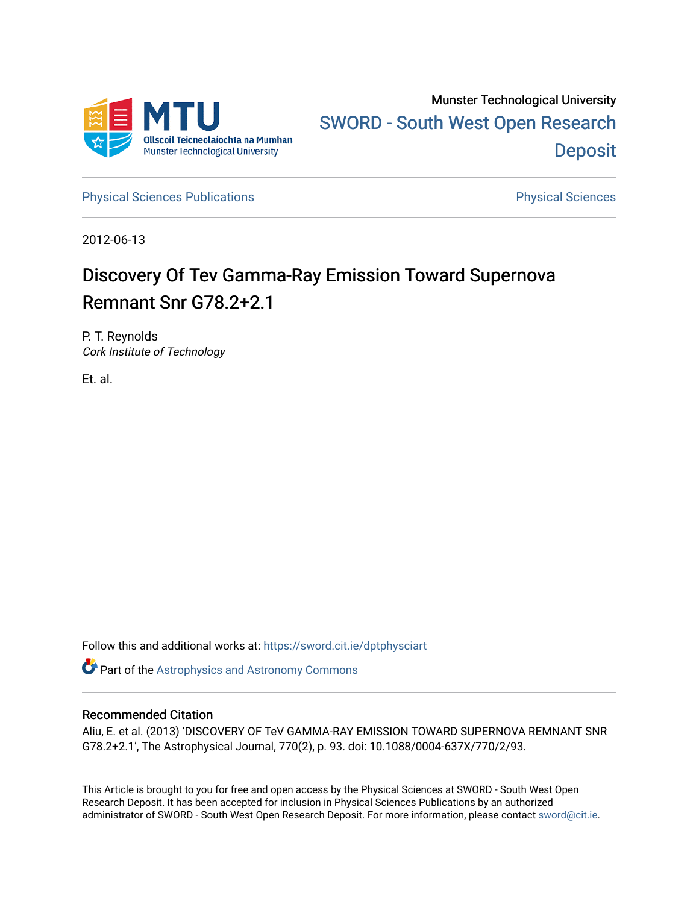

[Physical Sciences Publications](https://sword.cit.ie/dptphysciart) **Physical Sciences** Physical Sciences

2012-06-13

# Discovery Of Tev Gamma-Ray Emission Toward Supernova Remnant Snr G78.2+2.1

P. T. Reynolds Cork Institute of Technology

Et. al.

Follow this and additional works at: [https://sword.cit.ie/dptphysciart](https://sword.cit.ie/dptphysciart?utm_source=sword.cit.ie%2Fdptphysciart%2F60&utm_medium=PDF&utm_campaign=PDFCoverPages)

Part of the [Astrophysics and Astronomy Commons](http://network.bepress.com/hgg/discipline/123?utm_source=sword.cit.ie%2Fdptphysciart%2F60&utm_medium=PDF&utm_campaign=PDFCoverPages) 

# Recommended Citation

Aliu, E. et al. (2013) 'DISCOVERY OF TeV GAMMA-RAY EMISSION TOWARD SUPERNOVA REMNANT SNR G78.2+2.1', The Astrophysical Journal, 770(2), p. 93. doi: 10.1088/0004-637X/770/2/93.

This Article is brought to you for free and open access by the Physical Sciences at SWORD - South West Open Research Deposit. It has been accepted for inclusion in Physical Sciences Publications by an authorized administrator of SWORD - South West Open Research Deposit. For more information, please contact [sword@cit.ie.](mailto:sword@cit.ie)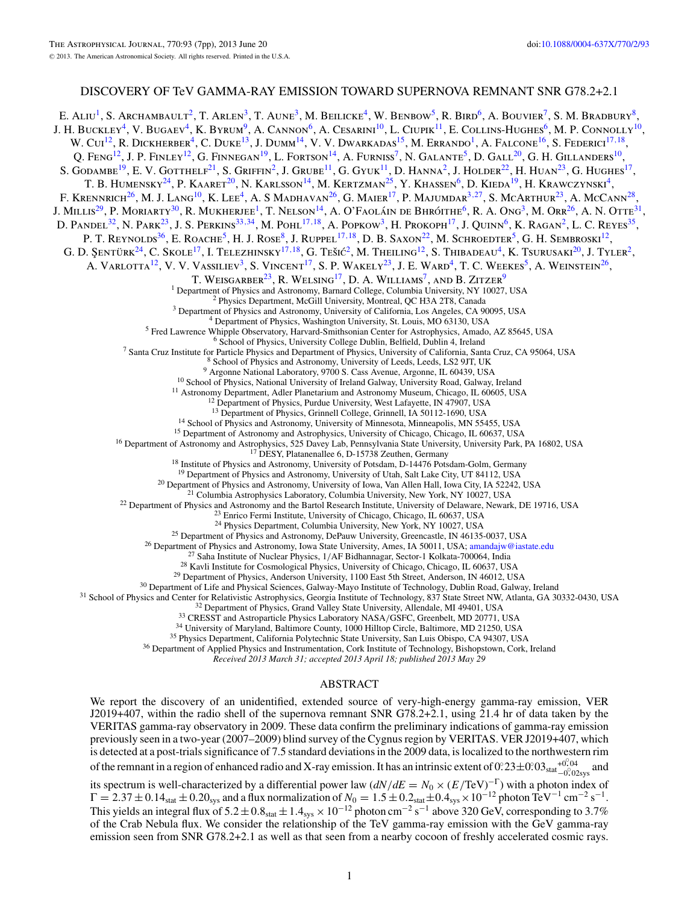# DISCOVERY OF TeV GAMMA-RAY EMISSION TOWARD SUPERNOVA REMNANT SNR G78.2+2.1

E. ALIU<sup>1</sup>, S. Archambault<sup>2</sup>, T. Arlen<sup>3</sup>, T. Aune<sup>3</sup>, M. Beilicke<sup>4</sup>, W. Benbow<sup>5</sup>, R. Bird<sup>6</sup>, A. Bouvier<sup>7</sup>, S. M. Bradbury<sup>8</sup>, J. H. BUCKLEY<sup>4</sup>, V. BUGAEV<sup>4</sup>, K. BYRUM<sup>9</sup>, A. CANNON<sup>6</sup>, A. CESARINI<sup>10</sup>, L. CIUPIK<sup>11</sup>, E. COLLINS-HUGHES<sup>6</sup>, M. P. CONNOLLY<sup>10</sup>, W. Cui<sup>12</sup>, R. Dickherber<sup>4</sup>, C. Duke<sup>13</sup>, J. Dumm<sup>14</sup>, V. V. Dwarkadas<sup>15</sup>, M. Errando<sup>1</sup>, A. Falcone<sup>16</sup>, S. Federici<sup>17,18</sup>, Q. Feng<sup>12</sup>, J. P. Finley<sup>12</sup>, G. Finnegan<sup>19</sup>, L. Fortson<sup>14</sup>, A. Furniss<sup>7</sup>, N. Galante<sup>5</sup>, D. Gall<sup>20</sup>, G. H. Gillanders<sup>10</sup>, S. Godambe<sup>19</sup>, E. V. Gotthelf<sup>21</sup>, S. Griffin<sup>2</sup>, J. Grube<sup>11</sup>, G. Gyuk<sup>11</sup>, D. Hanna<sup>2</sup>, J. Holder<sup>22</sup>, H. Huan<sup>23</sup>, G. Hughes<sup>17</sup>, T. B. Humensky<sup>24</sup>, P. Kaaret<sup>20</sup>, N. Karlsson<sup>14</sup>, M. Kertzman<sup>25</sup>, Y. Khassen<sup>6</sup>, D. Kieda<sup>19</sup>, H. Krawczynski<sup>4</sup>, F. KRENNRICH<sup>26</sup>, M. J. Lang<sup>10</sup>, K. Lee<sup>4</sup>, A. S Madhavan<sup>26</sup>, G. Maier<sup>17</sup>, P. Majumdar<sup>3,27</sup>, S. McArthur<sup>23</sup>, A. McCann<sup>28</sup>, J. Millis<sup>29</sup>, P. Moriarty<sup>30</sup>, R. Mukherjee<sup>1</sup>, T. Nelson<sup>14</sup>, A. O'Faoláin de Bhróithe<sup>6</sup>, R. A. Ong<sup>3</sup>, M. Orr<sup>26</sup>, A. N. Otte<sup>31</sup>, D. Pandel<sup>32</sup>, N. Park<sup>23</sup>, J. S. Perkins<sup>33,34</sup>, M. Pohl<sup>17,18</sup>, A. Popkow<sup>3</sup>, H. Prokoph<sup>17</sup>, J. Quinn<sup>6</sup>, K. Ragan<sup>2</sup>, L. C. Reyes<sup>35</sup>, P. T. REYNOLDS<sup>36</sup>, E. ROACHE<sup>5</sup>, H. J. ROSE<sup>8</sup>, J. RUPPEL<sup>17,18</sup>, D. B. SAXON<sup>22</sup>, M. SCHROEDTER<sup>5</sup>, G. H. SEMBROSKI<sup>12</sup>, G. D. ŞENTÜRK<sup>24</sup>, C. SKOLE<sup>17</sup>, I. TELEZHINSKY<sup>17,18</sup>, G. TEŠIĆ<sup>2</sup>, M. THEILING<sup>12</sup>, S. THIBADEAU<sup>4</sup>, K. TSURUSAKI<sup>20</sup>, J. TYLER<sup>2</sup>, A. VARLOTTA<sup>12</sup>, V. V. VASSILIEV<sup>3</sup>, S. VINCENT<sup>17</sup>, S. P. WAKELY<sup>23</sup>, J. E. WARD<sup>4</sup>, T. C. WEEKES<sup>5</sup>, A. WEINSTEIN<sup>26</sup>, T. WEISGARBER<sup>23</sup>, R. WELSING<sup>17</sup>, D. A. WILLIAMS<sup>7</sup>, AND B. ZITZER<sup>9</sup><br><sup>1</sup> Department of Physics and Astronomy, Barnard College, Columbia University, NY 10027, USA <sup>1</sup> Department of Physics and Astronomy, Barnard College, Columbia University, NY 10027, USA<br><sup>2</sup> Physics Department, McGill University, Montreal, QC H3A 2T8, Canada<br><sup>3</sup> Department of Physics and Astronomy, University of C <sup>13</sup> Department of Physics, Grinnell College, Grinnell, IA 50112-1690, USA<br><sup>14</sup> School of Physics and Astronomy, University of Minnesota, Minneapolis, MN 55455, USA<br><sup>15</sup> Department of Astronomy and Astrophysics, University <sup>20</sup> Department of Physics and Astronomy, University of Iowa, Van Allen Hall, Iowa City, IA 52242, USA<br><sup>21</sup> Columbia Astronomy and the Bartol Research Institute, University of Delaware, Newark, DE 19716, USA<br><sup>21</sup> Columbia

*Received 2013 March 31; accepted 2013 April 18; published 2013 May 29*

## ABSTRACT

We report the discovery of an unidentified, extended source of very-high-energy gamma-ray emission, VER J2019+407, within the radio shell of the supernova remnant SNR G78.2+2.1, using 21.4 hr of data taken by the VERITAS gamma-ray observatory in 2009. These data confirm the preliminary indications of gamma-ray emission previously seen in a two-year (2007–2009) blind survey of the Cygnus region by VERITAS. VER J2019+407, which is detected at a post-trials significance of 7.5 standard deviations in the 2009 data, is localized to the northwestern rim of the remnant in a region of enhanced radio and X-ray emission. It has an intrinsic extent of  $0.23 \pm 0.03_{stat} \frac{40.04}{-0.02_{sys}}$  and

its spectrum is well-characterized by a differential power law  $(dN/dE = N_0 \times (E/\text{TeV})^{-\Gamma})$  with a photon index of  $\Gamma = 2.37 \pm 0.14$ <sub>stat</sub>  $\pm 0.20$ <sub>sys</sub> and a flux normalization of  $N_0 = 1.5 \pm 0.2$ <sub>stat</sub>  $\pm 0.4$ <sub>sys</sub>  $\times 10^{-12}$  photon TeV<sup>-1</sup> cm<sup>-2</sup> s<sup>-1</sup>. This yields an integral flux of  $5.2 \pm 0.8$ <sub>stat</sub>  $\pm 1.4$ <sub>sys</sub> × 10<sup>-12</sup> photon cm<sup>-2</sup> s<sup>-1</sup> above 320 GeV, corresponding to 3.7% of the Crab Nebula flux. We consider the relationship of the TeV gamma-ray emission with the GeV gamma-ray emission seen from SNR G78.2+2.1 as well as that seen from a nearby cocoon of freshly accelerated cosmic rays.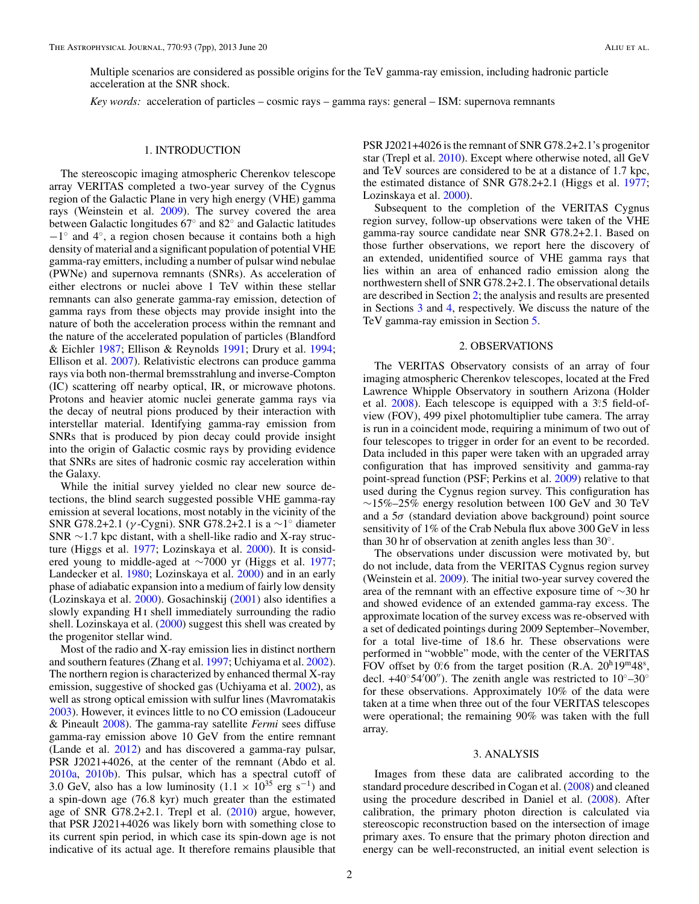Multiple scenarios are considered as possible origins for the TeV gamma-ray emission, including hadronic particle acceleration at the SNR shock.

*Key words:* acceleration of particles – cosmic rays – gamma rays: general – ISM: supernova remnants

#### 1. INTRODUCTION

The stereoscopic imaging atmospheric Cherenkov telescope array VERITAS completed a two-year survey of the Cygnus region of the Galactic Plane in very high energy (VHE) gamma rays (Weinstein et al. [2009\)](#page-7-0). The survey covered the area between Galactic longitudes 67◦ and 82◦ and Galactic latitudes  $-1^\circ$  and  $4^\circ$ , a region chosen because it contains both a high density of material and a significant population of potential VHE gamma-ray emitters, including a number of pulsar wind nebulae (PWNe) and supernova remnants (SNRs). As acceleration of either electrons or nuclei above 1 TeV within these stellar remnants can also generate gamma-ray emission, detection of gamma rays from these objects may provide insight into the nature of both the acceleration process within the remnant and the nature of the accelerated population of particles (Blandford & Eichler [1987;](#page-7-0) Ellison & Reynolds [1991;](#page-7-0) Drury et al. [1994;](#page-7-0) Ellison et al. [2007\)](#page-7-0). Relativistic electrons can produce gamma rays via both non-thermal bremsstrahlung and inverse-Compton (IC) scattering off nearby optical, IR, or microwave photons. Protons and heavier atomic nuclei generate gamma rays via the decay of neutral pions produced by their interaction with interstellar material. Identifying gamma-ray emission from SNRs that is produced by pion decay could provide insight into the origin of Galactic cosmic rays by providing evidence that SNRs are sites of hadronic cosmic ray acceleration within the Galaxy.

While the initial survey yielded no clear new source detections, the blind search suggested possible VHE gamma-ray emission at several locations, most notably in the vicinity of the SNR G78.2+2.1 (*γ* -Cygni). SNR G78.2+2.1 is a ∼1◦ diameter SNR ∼1*.*7 kpc distant, with a shell-like radio and X-ray structure (Higgs et al. [1977;](#page-7-0) Lozinskaya et al. [2000\)](#page-7-0). It is considered young to middle-aged at ∼7000 yr (Higgs et al. [1977;](#page-7-0) Landecker et al. [1980;](#page-7-0) Lozinskaya et al. [2000\)](#page-7-0) and in an early phase of adiabatic expansion into a medium of fairly low density (Lozinskaya et al. [2000\)](#page-7-0). Gosachinskij [\(2001\)](#page-7-0) also identifies a slowly expanding H<sub>I</sub> shell immediately surrounding the radio shell. Lozinskaya et al. [\(2000\)](#page-7-0) suggest this shell was created by the progenitor stellar wind.

Most of the radio and X-ray emission lies in distinct northern and southern features (Zhang et al. [1997;](#page-7-0) Uchiyama et al. [2002\)](#page-7-0). The northern region is characterized by enhanced thermal X-ray emission, suggestive of shocked gas (Uchiyama et al. [2002\)](#page-7-0), as well as strong optical emission with sulfur lines (Mavromatakis [2003\)](#page-7-0). However, it evinces little to no CO emission (Ladouceur & Pineault [2008\)](#page-7-0). The gamma-ray satellite *Fermi* sees diffuse gamma-ray emission above 10 GeV from the entire remnant (Lande et al. [2012\)](#page-7-0) and has discovered a gamma-ray pulsar, PSR J2021+4026, at the center of the remnant (Abdo et al. [2010a,](#page-7-0) [2010b\)](#page-7-0). This pulsar, which has a spectral cutoff of 3.0 GeV, also has a low luminosity  $(1.1 \times 10^{35} \text{ erg s}^{-1})$  and a spin-down age (76.8 kyr) much greater than the estimated age of SNR G78.2+2.1. Trepl et al. [\(2010\)](#page-7-0) argue, however, that PSR J2021+4026 was likely born with something close to its current spin period, in which case its spin-down age is not indicative of its actual age. It therefore remains plausible that PSR J2021+4026 is the remnant of SNR G78.2+2.1's progenitor star (Trepl et al. [2010\)](#page-7-0). Except where otherwise noted, all GeV and TeV sources are considered to be at a distance of 1.7 kpc, the estimated distance of SNR G78.2+2.1 (Higgs et al. [1977;](#page-7-0) Lozinskaya et al. [2000\)](#page-7-0).

Subsequent to the completion of the VERITAS Cygnus region survey, follow-up observations were taken of the VHE gamma-ray source candidate near SNR G78.2+2.1. Based on those further observations, we report here the discovery of an extended, unidentified source of VHE gamma rays that lies within an area of enhanced radio emission along the northwestern shell of SNR G78.2+2.1. The observational details are described in Section 2; the analysis and results are presented in Sections 3 and [4,](#page-3-0) respectively. We discuss the nature of the TeV gamma-ray emission in Section [5.](#page-5-0)

#### 2. OBSERVATIONS

The VERITAS Observatory consists of an array of four imaging atmospheric Cherenkov telescopes, located at the Fred Lawrence Whipple Observatory in southern Arizona (Holder et al. [2008\)](#page-7-0). Each telescope is equipped with a 3°.5 field-ofview (FOV), 499 pixel photomultiplier tube camera. The array is run in a coincident mode, requiring a minimum of two out of four telescopes to trigger in order for an event to be recorded. Data included in this paper were taken with an upgraded array configuration that has improved sensitivity and gamma-ray point-spread function (PSF; Perkins et al. [2009\)](#page-7-0) relative to that used during the Cygnus region survey. This configuration has  $~\sim$ 15%–25% energy resolution between 100 GeV and 30 TeV and a  $5\sigma$  (standard deviation above background) point source sensitivity of 1% of the Crab Nebula flux above 300 GeV in less than 30 hr of observation at zenith angles less than  $30^\circ$ .

The observations under discussion were motivated by, but do not include, data from the VERITAS Cygnus region survey (Weinstein et al. [2009\)](#page-7-0). The initial two-year survey covered the area of the remnant with an effective exposure time of ∼30 hr and showed evidence of an extended gamma-ray excess. The approximate location of the survey excess was re-observed with a set of dedicated pointings during 2009 September–November, for a total live-time of 18.6 hr. These observations were performed in "wobble" mode, with the center of the VERITAS FOV offset by 0.6 from the target position (R.A. 20<sup>h</sup>19<sup>m</sup>48<sup>s</sup>, decl.  $+40^{\circ}54'00'$ ). The zenith angle was restricted to  $10^{\circ}-30^{\circ}$ for these observations. Approximately 10% of the data were taken at a time when three out of the four VERITAS telescopes were operational; the remaining 90% was taken with the full array.

#### 3. ANALYSIS

Images from these data are calibrated according to the standard procedure described in Cogan et al. [\(2008\)](#page-7-0) and cleaned using the procedure described in Daniel et al. [\(2008\)](#page-7-0). After calibration, the primary photon direction is calculated via stereoscopic reconstruction based on the intersection of image primary axes. To ensure that the primary photon direction and energy can be well-reconstructed, an initial event selection is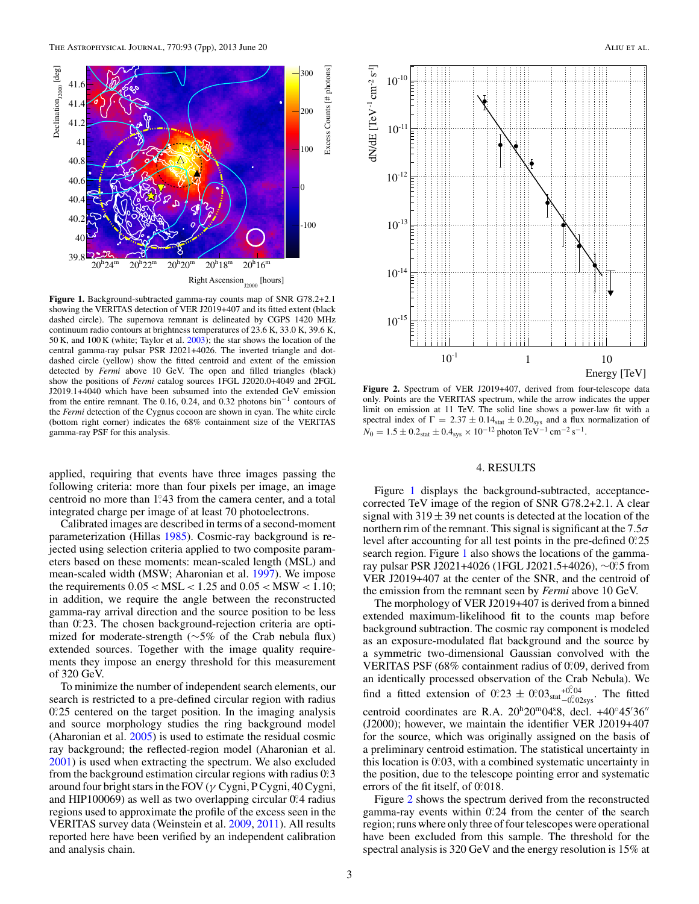<span id="page-3-0"></span>

**Figure 1.** Background-subtracted gamma-ray counts map of SNR G78.2+2.1 showing the VERITAS detection of VER J2019+407 and its fitted extent (black dashed circle). The supernova remnant is delineated by CGPS 1420 MHz continuum radio contours at brightness temperatures of 23.6 K, 33.0 K, 39.6 K, 50 K, and 100 K (white; Taylor et al. [2003\)](#page-7-0); the star shows the location of the central gamma-ray pulsar PSR J2021+4026. The inverted triangle and dotdashed circle (yellow) show the fitted centroid and extent of the emission detected by *Fermi* above 10 GeV. The open and filled triangles (black) show the positions of *Fermi* catalog sources 1FGL J2020.0+4049 and 2FGL J2019.1+4040 which have been subsumed into the extended GeV emission from the entire remnant. The 0.16, 0.24, and 0.32 photons bin−<sup>1</sup> contours of the *Fermi* detection of the Cygnus cocoon are shown in cyan. The white circle (bottom right corner) indicates the 68% containment size of the VERITAS gamma-ray PSF for this analysis.

applied, requiring that events have three images passing the following criteria: more than four pixels per image, an image centroid no more than 1.43 from the camera center, and a total integrated charge per image of at least 70 photoelectrons.

Calibrated images are described in terms of a second-moment parameterization (Hillas [1985\)](#page-7-0). Cosmic-ray background is rejected using selection criteria applied to two composite parameters based on these moments: mean-scaled length (MSL) and mean-scaled width (MSW; Aharonian et al. [1997\)](#page-7-0). We impose the requirements 0*.*05 *<* MSL *<* 1*.*25 and 0*.*05 *<* MSW *<* 1*.*10; in addition, we require the angle between the reconstructed gamma-ray arrival direction and the source position to be less than 0.23. The chosen background-rejection criteria are optimized for moderate-strength (∼5% of the Crab nebula flux) extended sources. Together with the image quality requirements they impose an energy threshold for this measurement of 320 GeV.

To minimize the number of independent search elements, our search is restricted to a pre-defined circular region with radius 0.25 centered on the target position. In the imaging analysis and source morphology studies the ring background model (Aharonian et al. [2005\)](#page-7-0) is used to estimate the residual cosmic ray background; the reflected-region model (Aharonian et al. [2001\)](#page-7-0) is used when extracting the spectrum. We also excluded from the background estimation circular regions with radius 0.3 around four bright stars in the FOV (*γ* Cygni, P Cygni, 40 Cygni, and HIP100069) as well as two overlapping circular 0.<sup>2</sup>4 radius regions used to approximate the profile of the excess seen in the VERITAS survey data (Weinstein et al. [2009,](#page-7-0) [2011\)](#page-7-0). All results reported here have been verified by an independent calibration and analysis chain.



**Figure 2.** Spectrum of VER J2019+407, derived from four-telescope data only. Points are the VERITAS spectrum, while the arrow indicates the upper limit on emission at 11 TeV. The solid line shows a power-law fit with a spectral index of  $\Gamma = 2.37 \pm 0.14$ <sub>stat</sub>  $\pm 0.20$ <sub>sys</sub> and a flux normalization of  $N_0 = 1.5 \pm 0.2$ <sub>stat</sub>  $\pm 0.4$ <sub>sys</sub> × 10<sup>-12</sup> photon TeV<sup>-1</sup> cm<sup>-2</sup> s<sup>-1</sup>.

### 4. RESULTS

Figure 1 displays the background-subtracted, acceptancecorrected TeV image of the region of SNR G78.2+2.1. A clear signal with  $319 \pm 39$  net counts is detected at the location of the northern rim of the remnant. This signal is significant at the 7*.*5*σ* level after accounting for all test points in the pre-defined 0*.* ◦25 search region. Figure 1 also shows the locations of the gammaray pulsar PSR J2021+4026 (1FGL J2021.5+4026), ∼0*.* ◦5 from VER J2019+407 at the center of the SNR, and the centroid of the emission from the remnant seen by *Fermi* above 10 GeV.

The morphology of VER J2019+407 is derived from a binned extended maximum-likelihood fit to the counts map before background subtraction. The cosmic ray component is modeled as an exposure-modulated flat background and the source by a symmetric two-dimensional Gaussian convolved with the VERITAS PSF (68% containment radius of 0.09, derived from an identically processed observation of the Crab Nebula). We find a fitted extension of  $0.23 \pm 0.03_{stat} + 0.04 \atop 0.02$  The fitted centroid coordinates are R.A. 20<sup>h</sup>20<sup>m</sup>04.8, decl. +40°45'36" (J2000); however, we maintain the identifier VER J2019+407 for the source, which was originally assigned on the basis of a preliminary centroid estimation. The statistical uncertainty in this location is 0.03, with a combined systematic uncertainty in the position, due to the telescope pointing error and systematic errors of the fit itself, of 0.018.

Figure 2 shows the spectrum derived from the reconstructed gamma-ray events within 0.24 from the center of the search region; runs where only three of four telescopes were operational have been excluded from this sample. The threshold for the spectral analysis is 320 GeV and the energy resolution is 15% at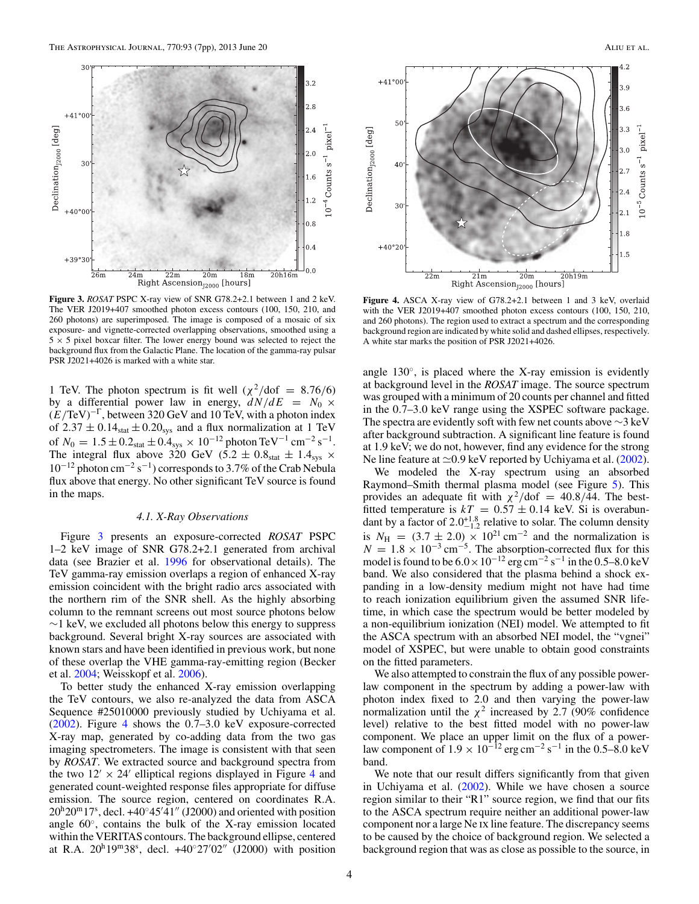<span id="page-4-0"></span>

**Figure 3.** *ROSAT* PSPC X-ray view of SNR G78.2+2.1 between 1 and 2 keV. The VER J2019+407 smoothed photon excess contours (100, 150, 210, and 260 photons) are superimposed. The image is composed of a mosaic of six exposure- and vignette-corrected overlapping observations, smoothed using a  $5 \times 5$  pixel boxcar filter. The lower energy bound was selected to reject the background flux from the Galactic Plane. The location of the gamma-ray pulsar PSR J2021+4026 is marked with a white star.

1 TeV. The photon spectrum is fit well  $(\chi^2/\text{dof} = 8.76/6)$ by a differential power law in energy,  $dN/dE = N_0 \times$ (*E/*TeV)−<sup>Γ</sup>, between 320 GeV and 10 TeV, with a photon index of  $2.37 \pm 0.14$ <sub>stat</sub>  $\pm 0.20$ <sub>sys</sub> and a flux normalization at 1 TeV of  $N_0 = 1.5 \pm 0.2$ <sub>stat</sub>  $\pm 0.4$ <sub>sys</sub> × 10<sup>-12</sup> photon TeV<sup>-1</sup> cm<sup>-2</sup> s<sup>-1</sup>. The integral flux above 320 GeV (5.2  $\pm$  0.8<sub>stat</sub>  $\pm$  1.4<sub>sys</sub>  $\times$  $10^{-12}$  photon cm<sup>-2</sup> s<sup>-1</sup>) corresponds to 3.7% of the Crab Nebula flux above that energy. No other significant TeV source is found in the maps.

#### *4.1. X-Ray Observations*

Figure 3 presents an exposure-corrected *ROSAT* PSPC 1–2 keV image of SNR G78.2+2.1 generated from archival data (see Brazier et al. [1996](#page-7-0) for observational details). The TeV gamma-ray emission overlaps a region of enhanced X-ray emission coincident with the bright radio arcs associated with the northern rim of the SNR shell. As the highly absorbing column to the remnant screens out most source photons below  $\sim$ 1 keV, we excluded all photons below this energy to suppress background. Several bright X-ray sources are associated with known stars and have been identified in previous work, but none of these overlap the VHE gamma-ray-emitting region (Becker et al. [2004;](#page-7-0) Weisskopf et al. [2006\)](#page-7-0).

To better study the enhanced X-ray emission overlapping the TeV contours, we also re-analyzed the data from ASCA Sequence #25010000 previously studied by Uchiyama et al. [\(2002\)](#page-7-0). Figure 4 shows the 0*.*7–3*.*0 keV exposure-corrected X-ray map, generated by co-adding data from the two gas imaging spectrometers. The image is consistent with that seen by *ROSAT*. We extracted source and background spectra from the two  $12' \times 24'$  elliptical regions displayed in Figure 4 and generated count-weighted response files appropriate for diffuse emission. The source region, centered on coordinates R.A.  $20^{\text{h}}20^{\text{m}}17^{\text{s}}$ , decl. +40°45′41" (J2000) and oriented with position angle  $60^\circ$ , contains the bulk of the X-ray emission located within the VERITAS contours. The background ellipse, centered at R.A.  $20^h19^m38^s$ , decl.  $+40°27'02''$  (J2000) with position



**Figure 4.** ASCA X-ray view of G78.2+2.1 between 1 and 3 keV, overlaid with the VER J2019+407 smoothed photon excess contours (100, 150, 210, and 260 photons). The region used to extract a spectrum and the corresponding background region are indicated by white solid and dashed ellipses, respectively. A white star marks the position of PSR J2021+4026.

angle  $130^\circ$ , is placed where the X-ray emission is evidently at background level in the *ROSAT* image. The source spectrum was grouped with a minimum of 20 counts per channel and fitted in the 0*.*7–3*.*0 keV range using the XSPEC software package. The spectra are evidently soft with few net counts above ∼3 keV after background subtraction. A significant line feature is found at 1.9 keV; we do not, however, find any evidence for the strong Ne line feature at  $\approx 0.9$  keV reported by Uchiyama et al. [\(2002\)](#page-7-0).

We modeled the X-ray spectrum using an absorbed Raymond–Smith thermal plasma model (see Figure [5\)](#page-5-0). This provides an adequate fit with  $\chi^2$ /dof = 40*.8*/44. The bestfitted temperature is  $kT = 0.57 \pm 0.14$  keV. Si is overabundant by a factor of  $2.0^{+1.8}_{-1.2}$  relative to solar. The column density is  $N_{\text{H}} = (3.7 \pm 2.0) \times 10^{21} \text{ cm}^{-2}$  and the normalization is  $N = 1.8 \times 10^{-3} \text{ cm}^{-5}$ . The absorption-corrected flux for this model is found to be  $6.0 \times 10^{-12}$  erg cm<sup>-2</sup> s<sup>-1</sup> in the 0.5–8.0 keV band. We also considered that the plasma behind a shock expanding in a low-density medium might not have had time to reach ionization equilibrium given the assumed SNR lifetime, in which case the spectrum would be better modeled by a non-equilibrium ionization (NEI) model. We attempted to fit the ASCA spectrum with an absorbed NEI model, the "vgnei" model of XSPEC, but were unable to obtain good constraints on the fitted parameters.

We also attempted to constrain the flux of any possible powerlaw component in the spectrum by adding a power-law with photon index fixed to 2.0 and then varying the power-law normalization until the  $\chi^2$  increased by 2.7 (90% confidence level) relative to the best fitted model with no power-law component. We place an upper limit on the flux of a powerlaw component of  $1.9 \times 10^{-12}$  erg cm<sup>-2</sup> s<sup>-1</sup> in the 0.5–8.0 keV band.

We note that our result differs significantly from that given in Uchiyama et al. [\(2002\)](#page-7-0). While we have chosen a source region similar to their "R1" source region, we find that our fits to the ASCA spectrum require neither an additional power-law component nor a large Ne ix line feature. The discrepancy seems to be caused by the choice of background region. We selected a background region that was as close as possible to the source, in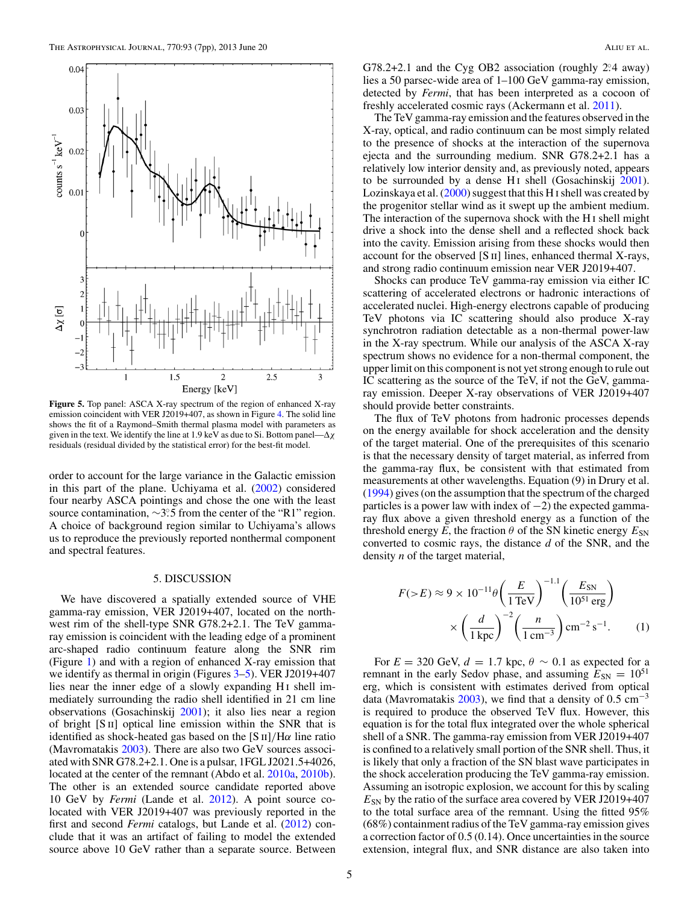<span id="page-5-0"></span>

**Figure 5.** Top panel: ASCA X-ray spectrum of the region of enhanced X-ray emission coincident with VER J2019+407, as shown in Figure [4.](#page-4-0) The solid line shows the fit of a Raymond–Smith thermal plasma model with parameters as given in the text. We identify the line at 1.9 keV as due to Si. Bottom panel—Δ*χ* residuals (residual divided by the statistical error) for the best-fit model.

order to account for the large variance in the Galactic emission in this part of the plane. Uchiyama et al. [\(2002\)](#page-7-0) considered four nearby ASCA pointings and chose the one with the least source contamination, ~3°.5 from the center of the "R1" region. A choice of background region similar to Uchiyama's allows us to reproduce the previously reported nonthermal component and spectral features.

#### 5. DISCUSSION

We have discovered a spatially extended source of VHE gamma-ray emission, VER J2019+407, located on the northwest rim of the shell-type SNR G78.2+2.1. The TeV gammaray emission is coincident with the leading edge of a prominent arc-shaped radio continuum feature along the SNR rim (Figure [1\)](#page-3-0) and with a region of enhanced X-ray emission that we identify as thermal in origin (Figures [3–](#page-4-0)5). VER J2019+407 lies near the inner edge of a slowly expanding H<sub>I</sub> shell immediately surrounding the radio shell identified in 21 cm line observations (Gosachinskij [2001\)](#page-7-0); it also lies near a region of bright  $[S \Pi]$  optical line emission within the SNR that is identified as shock-heated gas based on the  $[S \text{II}]/H\alpha$  line ratio (Mavromatakis [2003\)](#page-7-0). There are also two GeV sources associated with SNR G78.2+2.1. One is a pulsar, 1FGL J2021.5+4026, located at the center of the remnant (Abdo et al. [2010a,](#page-7-0) [2010b\)](#page-7-0). The other is an extended source candidate reported above 10 GeV by *Fermi* (Lande et al. [2012\)](#page-7-0). A point source colocated with VER J2019+407 was previously reported in the first and second *Fermi* catalogs, but Lande et al. [\(2012\)](#page-7-0) conclude that it was an artifact of failing to model the extended source above 10 GeV rather than a separate source. Between

G78.2+2.1 and the Cyg OB2 association (roughly 2<sup>o</sup>.4 away) lies a 50 parsec-wide area of 1–100 GeV gamma-ray emission, detected by *Fermi*, that has been interpreted as a cocoon of freshly accelerated cosmic rays (Ackermann et al. [2011\)](#page-7-0).

The TeV gamma-ray emission and the features observed in the X-ray, optical, and radio continuum can be most simply related to the presence of shocks at the interaction of the supernova ejecta and the surrounding medium. SNR G78.2+2.1 has a relatively low interior density and, as previously noted, appears to be surrounded by a dense H<sub>I</sub> shell (Gosachinskij  $2001$ ). Lozinskaya et al.  $(2000)$  suggest that this H<sub>I</sub> shell was created by the progenitor stellar wind as it swept up the ambient medium. The interaction of the supernova shock with the H i shell might drive a shock into the dense shell and a reflected shock back into the cavity. Emission arising from these shocks would then account for the observed [S ii] lines, enhanced thermal X-rays, and strong radio continuum emission near VER J2019+407.

Shocks can produce TeV gamma-ray emission via either IC scattering of accelerated electrons or hadronic interactions of accelerated nuclei. High-energy electrons capable of producing TeV photons via IC scattering should also produce X-ray synchrotron radiation detectable as a non-thermal power-law in the X-ray spectrum. While our analysis of the ASCA X-ray spectrum shows no evidence for a non-thermal component, the upper limit on this component is not yet strong enough to rule out IC scattering as the source of the TeV, if not the GeV, gammaray emission. Deeper X-ray observations of VER J2019+407 should provide better constraints.

The flux of TeV photons from hadronic processes depends on the energy available for shock acceleration and the density of the target material. One of the prerequisites of this scenario is that the necessary density of target material, as inferred from the gamma-ray flux, be consistent with that estimated from measurements at other wavelengths. Equation (9) in Drury et al. [\(1994\)](#page-7-0) gives (on the assumption that the spectrum of the charged particles is a power law with index of  $-2$ ) the expected gammaray flux above a given threshold energy as a function of the threshold energy  $E$ , the fraction  $\theta$  of the SN kinetic energy  $E_{SN}$ converted to cosmic rays, the distance *d* of the SNR, and the density *n* of the target material,

$$
F(\gt E) \approx 9 \times 10^{-11} \theta \left(\frac{E}{1 \text{ TeV}}\right)^{-1.1} \left(\frac{E_{\text{SN}}}{10^{51} \text{ erg}}\right)
$$

$$
\times \left(\frac{d}{1 \text{ kpc}}\right)^{-2} \left(\frac{n}{1 \text{ cm}^{-3}}\right) \text{ cm}^{-2} \text{ s}^{-1}. \tag{1}
$$

For  $E = 320$  GeV,  $d = 1.7$  kpc,  $\theta \sim 0.1$  as expected for a remnant in the early Sedov phase, and assuming  $E_{SN} = 10^{51}$ erg, which is consistent with estimates derived from optical data (Mavromatakis [2003\)](#page-7-0), we find that a density of 0*.*5 cm−<sup>3</sup> is required to produce the observed TeV flux. However, this equation is for the total flux integrated over the whole spherical shell of a SNR. The gamma-ray emission from VER J2019+407 is confined to a relatively small portion of the SNR shell. Thus, it is likely that only a fraction of the SN blast wave participates in the shock acceleration producing the TeV gamma-ray emission. Assuming an isotropic explosion, we account for this by scaling  $E_{SN}$  by the ratio of the surface area covered by VER J2019+407 to the total surface area of the remnant. Using the fitted 95% (68%) containment radius of the TeV gamma-ray emission gives a correction factor of 0.5 (0.14). Once uncertainties in the source extension, integral flux, and SNR distance are also taken into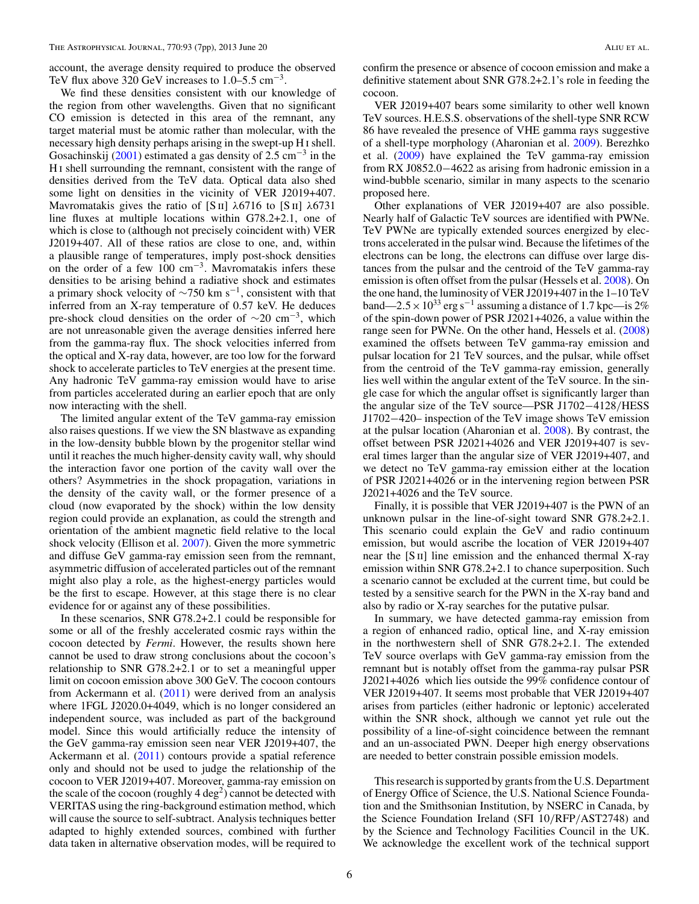account, the average density required to produce the observed TeV flux above 320 GeV increases to 1*.*0–5*.*5 cm−3.

We find these densities consistent with our knowledge of the region from other wavelengths. Given that no significant CO emission is detected in this area of the remnant, any target material must be atomic rather than molecular, with the necessary high density perhaps arising in the swept-up H i shell. Gosachinskij [\(2001\)](#page-7-0) estimated a gas density of 2.5 cm<sup>-3</sup> in the H i shell surrounding the remnant, consistent with the range of densities derived from the TeV data. Optical data also shed some light on densities in the vicinity of VER J2019+407. Mavromatakis gives the ratio of [S ii] *λ*6716 to [S ii] *λ*6731 line fluxes at multiple locations within G78.2+2.1, one of which is close to (although not precisely coincident with) VER J2019+407. All of these ratios are close to one, and, within a plausible range of temperatures, imply post-shock densities on the order of a few  $100 \text{ cm}^{-3}$ . Mavromatakis infers these densities to be arising behind a radiative shock and estimates a primary shock velocity of  $\sim$ 750 km s<sup>-1</sup>, consistent with that inferred from an X-ray temperature of 0*.*57 keV. He deduces pre-shock cloud densities on the order of  $\sim$ 20 cm<sup>-3</sup>, which are not unreasonable given the average densities inferred here from the gamma-ray flux. The shock velocities inferred from the optical and X-ray data, however, are too low for the forward shock to accelerate particles to TeV energies at the present time. Any hadronic TeV gamma-ray emission would have to arise from particles accelerated during an earlier epoch that are only now interacting with the shell.

The limited angular extent of the TeV gamma-ray emission also raises questions. If we view the SN blastwave as expanding in the low-density bubble blown by the progenitor stellar wind until it reaches the much higher-density cavity wall, why should the interaction favor one portion of the cavity wall over the others? Asymmetries in the shock propagation, variations in the density of the cavity wall, or the former presence of a cloud (now evaporated by the shock) within the low density region could provide an explanation, as could the strength and orientation of the ambient magnetic field relative to the local shock velocity (Ellison et al. [2007\)](#page-7-0). Given the more symmetric and diffuse GeV gamma-ray emission seen from the remnant, asymmetric diffusion of accelerated particles out of the remnant might also play a role, as the highest-energy particles would be the first to escape. However, at this stage there is no clear evidence for or against any of these possibilities.

In these scenarios, SNR G78.2+2.1 could be responsible for some or all of the freshly accelerated cosmic rays within the cocoon detected by *Fermi*. However, the results shown here cannot be used to draw strong conclusions about the cocoon's relationship to SNR G78.2+2.1 or to set a meaningful upper limit on cocoon emission above 300 GeV. The cocoon contours from Ackermann et al. [\(2011\)](#page-7-0) were derived from an analysis where 1FGL J2020.0+4049, which is no longer considered an independent source, was included as part of the background model. Since this would artificially reduce the intensity of the GeV gamma-ray emission seen near VER J2019+407, the Ackermann et al. [\(2011\)](#page-7-0) contours provide a spatial reference only and should not be used to judge the relationship of the cocoon to VER J2019+407. Moreover, gamma-ray emission on the scale of the cocoon (roughly  $4 \text{ deg}^2$ ) cannot be detected with VERITAS using the ring-background estimation method, which will cause the source to self-subtract. Analysis techniques better adapted to highly extended sources, combined with further data taken in alternative observation modes, will be required to

confirm the presence or absence of cocoon emission and make a definitive statement about SNR G78.2+2.1's role in feeding the cocoon.

VER J2019+407 bears some similarity to other well known TeV sources. H.E.S.S. observations of the shell-type SNR RCW 86 have revealed the presence of VHE gamma rays suggestive of a shell-type morphology (Aharonian et al. [2009\)](#page-7-0). Berezhko et al. [\(2009\)](#page-7-0) have explained the TeV gamma-ray emission from RX J0852.0−4622 as arising from hadronic emission in a wind-bubble scenario, similar in many aspects to the scenario proposed here.

Other explanations of VER J2019+407 are also possible. Nearly half of Galactic TeV sources are identified with PWNe. TeV PWNe are typically extended sources energized by electrons accelerated in the pulsar wind. Because the lifetimes of the electrons can be long, the electrons can diffuse over large distances from the pulsar and the centroid of the TeV gamma-ray emission is often offset from the pulsar (Hessels et al. [2008\)](#page-7-0). On the one hand, the luminosity of VER J2019+407 in the 1–10 TeV band—2.5  $\times$  10<sup>33</sup> erg s<sup>-1</sup> assuming a distance of 1.7 kpc—is 2% of the spin-down power of PSR J2021+4026, a value within the range seen for PWNe. On the other hand, Hessels et al. [\(2008\)](#page-7-0) examined the offsets between TeV gamma-ray emission and pulsar location for 21 TeV sources, and the pulsar, while offset from the centroid of the TeV gamma-ray emission, generally lies well within the angular extent of the TeV source. In the single case for which the angular offset is significantly larger than the angular size of the TeV source—PSR J1702−4128*/*HESS J1702−420– inspection of the TeV image shows TeV emission at the pulsar location (Aharonian et al. [2008\)](#page-7-0). By contrast, the offset between PSR J2021+4026 and VER J2019+407 is several times larger than the angular size of VER J2019+407, and we detect no TeV gamma-ray emission either at the location of PSR J2021+4026 or in the intervening region between PSR J2021+4026 and the TeV source.

Finally, it is possible that VER J2019+407 is the PWN of an unknown pulsar in the line-of-sight toward SNR G78.2+2.1. This scenario could explain the GeV and radio continuum emission, but would ascribe the location of VER J2019+407 near the  $[S<sub>II</sub>]$  line emission and the enhanced thermal X-ray emission within SNR G78.2+2.1 to chance superposition. Such a scenario cannot be excluded at the current time, but could be tested by a sensitive search for the PWN in the X-ray band and also by radio or X-ray searches for the putative pulsar.

In summary, we have detected gamma-ray emission from a region of enhanced radio, optical line, and X-ray emission in the northwestern shell of SNR G78.2+2.1. The extended TeV source overlaps with GeV gamma-ray emission from the remnant but is notably offset from the gamma-ray pulsar PSR J2021+4026 which lies outside the 99% confidence contour of VER J2019+407. It seems most probable that VER J2019+407 arises from particles (either hadronic or leptonic) accelerated within the SNR shock, although we cannot yet rule out the possibility of a line-of-sight coincidence between the remnant and an un-associated PWN. Deeper high energy observations are needed to better constrain possible emission models.

This research is supported by grants from the U.S. Department of Energy Office of Science, the U.S. National Science Foundation and the Smithsonian Institution, by NSERC in Canada, by the Science Foundation Ireland (SFI 10*/*RFP*/*AST2748) and by the Science and Technology Facilities Council in the UK. We acknowledge the excellent work of the technical support